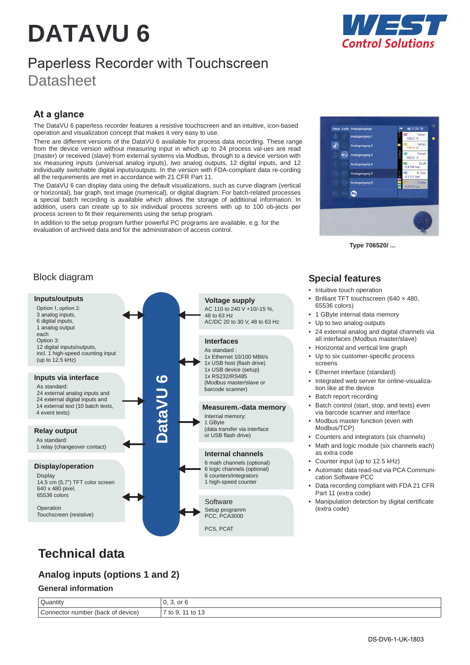# **DATAVU 6**



# Paperless Recorder with Touchscreen **Datasheet**

### At a glance

The DataVU 6 paperless recorder features a resistive touchscreen and an intuitive, icon-based operation and visualization concept that makes it very easy to use.

There are different versions of the DataVU 6 available for process data recording. These range from the device version without measuring input in which up to 24 process val-ues are read (master) or received (slave) from external systems via Modbus, through to a device version with six measuring inputs (universal analog inputs), two analog outputs, 12 digital inputs, and 12 individually switchable digital inputs/outputs. In the version with FDA-compliant data re-cording all the requirements are met in accordance with 21 CFR Part 11.

The DataVU 6 can display data using the default visualizations, such as curve diagram (vertical or horizontal), bar graph, text image (numerical), or digital diagram. For batch-related processes a special batch recording is available which allows the storage of additional information. In addition, users can create up to six individual process screens with up to 100 ob-jects per process screen to fit their requirements using the setup program.

In addition to the setup program further powerful PC programs are available, e.g. for the evaluation of archived data and for the administration of access control.



**Type 706520/ ...**

### Block diagram



### **Special features**

- Intuitive touch operation
- Brilliant TFT touchscreen (640 × 480, 65536 colors)
- 1 GByte internal data memory
- Up to two analog outputs
- 24 external analog and digital channels via all interfaces (Modbus master/slave)
- Horizontal and vertical line graph
- Up to six customer-specific process screens
- Ethernet interface (standard)
- Integrated web server for online-visualization like at the device
- Batch report recording
- Batch control (start, stop, and texts) even via barcode scanner and interface
- Modbus master function (even with Modbus/TCP)
- Counters and integrators (six channels)
- Math and logic module (six channels each) as extra code
- Counter input (up to 12.5 kHz)
- Automatic data read-out via PCA Communication Software PCC
- Data recording compliant with FDA 21 CFR Part 11 (extra code)
- Manipulation detection by digital certificate (extra code)

# **Technical data**

### **Analog inputs (options 1 and 2)**

#### **General information**

| Quantity                          | or 6<br>ັ                              |
|-----------------------------------|----------------------------------------|
| Connector number (back of device) | $\cdot$ to 1 <sup>o</sup><br>$7$ to 9. |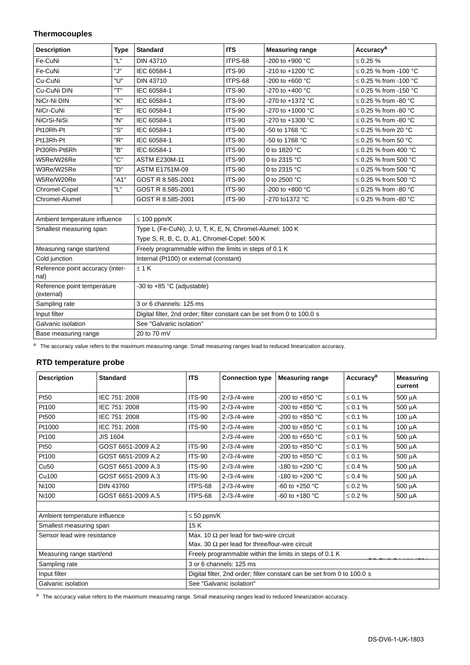#### **Thermocouples**

| <b>Description</b>                           | <b>Type</b> | <b>Standard</b>                                                         | <b>ITS</b>    | <b>Measuring range</b>     | Accuracy <sup>a</sup>      |
|----------------------------------------------|-------------|-------------------------------------------------------------------------|---------------|----------------------------|----------------------------|
| Fe-CuNi                                      | "L"         | <b>DIN 43710</b>                                                        | ITPS-68       | $-200$ to $+900$ °C        | $\leq 0.25 \%$             |
| Fe-CuNi                                      | "J"         | IEC 60584-1                                                             | <b>ITS-90</b> | -210 to +1200 $^{\circ}$ C | ≤ 0.25 % from -100 °C      |
| Cu-CuNi                                      | "ש"         | <b>DIN 43710</b>                                                        | ITPS-68       | $-200$ to $+600$ °C        | ≤ 0.25 % from -100 °C      |
| Cu-CuNi DIN                                  | "T"         | IEC 60584-1                                                             | <b>ITS-90</b> | $-270$ to $+400$ °C        | $\leq$ 0.25 % from -150 °C |
| NiCr-Ni DIN                                  | "K"         | IEC 60584-1                                                             | <b>ITS-90</b> | -270 to +1372 $^{\circ}$ C | $\leq$ 0.25 % from -80 °C  |
| NiCr-CuNi                                    | "Е"         | IEC 60584-1                                                             | <b>ITS-90</b> | -270 to +1000 °C           | $\leq$ 0.25 % from -80 °C  |
| NiCrSi-NiSi                                  | "N"         | IEC 60584-1                                                             | <b>ITS-90</b> | -270 to +1300 $^{\circ}$ C | $\leq$ 0.25 % from -80 °C  |
| Pt10Rh-Pt                                    | "S"         | IEC 60584-1                                                             | <b>ITS-90</b> | -50 to 1768 °C             | $\leq$ 0.25 % from 20 °C   |
| Pt13Rh-Pt                                    | "R"         | IEC 60584-1                                                             | <b>ITS-90</b> | -50 to 1768 °C             | $\leq$ 0.25 % from 50 °C   |
| Pt30Rh-Pt6Rh                                 | "B"         | IEC 60584-1                                                             | <b>ITS-90</b> | 0 to 1820 °C               | $\leq$ 0.25 % from 400 °C  |
| W5Re/W26Re                                   | "C"         | <b>ASTM E230M-11</b>                                                    | <b>ITS-90</b> | 0 to 2315 °C               | $\leq$ 0.25 % from 500 °C  |
| W3Re/W25Re                                   | "כו         | <b>ASTM E1751M-09</b>                                                   | <b>ITS-90</b> | 0 to 2315 °C               | $\leq$ 0.25 % from 500 °C  |
| W5Re/W20Re                                   | "A1"        | GOST R 8.585-2001                                                       | <b>ITS-90</b> | 0 to 2500 °C               | $\leq$ 0.25 % from 500 °C  |
| Chromel-Copel                                | "L"         | GOST R 8.585-2001                                                       | <b>ITS-90</b> | $-200$ to $+800$ °C        | $\leq$ 0.25 % from -80 °C  |
| Chromel-Alumel                               |             | GOST R 8.585-2001                                                       | <b>ITS-90</b> | -270 to 1372 °C            | $\leq$ 0.25 % from -80 °C  |
|                                              |             |                                                                         |               |                            |                            |
| Ambient temperature influence                |             | $\leq 100$ ppm/K                                                        |               |                            |                            |
| Smallest measuring span                      |             | Type L (Fe-CuNi), J, U, T, K, E, N, Chromel-Alumel: 100 K               |               |                            |                            |
| Type S, R, B, C, D, A1, Chromel-Copel: 500 K |             |                                                                         |               |                            |                            |
| Measuring range start/end                    |             | Freely programmable within the limits in steps of 0.1 K                 |               |                            |                            |
| Cold junction                                |             | Internal (Pt100) or external (constant)                                 |               |                            |                            |
| Reference point accuracy (inter-<br>nal)     |             | $±$ 1 K                                                                 |               |                            |                            |
| Reference point temperature<br>(external)    |             | -30 to +85 °C (adjustable)                                              |               |                            |                            |
| Sampling rate                                |             | 3 or 6 channels: 125 ms                                                 |               |                            |                            |
| Input filter                                 |             | Digital filter, 2nd order; filter constant can be set from 0 to 100.0 s |               |                            |                            |
| Galvanic isolation                           |             | See "Galvanic isolation"                                                |               |                            |                            |
| Base measuring range                         |             | 20 to 70 mV                                                             |               |                            |                            |

a The accuracy value refers to the maximum measuring range. Small measuring ranges lead to reduced linearization accuracy.

#### **RTD temperature probe**

| <b>Description</b>            | <b>Standard</b>    | <b>ITS</b>                                                              | <b>Connection type</b> | <b>Measuring range</b>    | Accuracy <sup>a</sup> | <b>Measuring</b><br>current |  |
|-------------------------------|--------------------|-------------------------------------------------------------------------|------------------------|---------------------------|-----------------------|-----------------------------|--|
| Pt50                          | IEC 751: 2008      | <b>ITS-90</b>                                                           | $2 - 3 - 4 - wire$     | -200 to +850 $^{\circ}$ C | $\leq 0.1 \%$         | 500 µA                      |  |
| Pt100                         | IEC 751: 2008      | <b>ITS-90</b>                                                           | $2 - 13 - 14$ -wire    | -200 to +850 $^{\circ}$ C | $\leq 0.1 \%$         | 500 μΑ                      |  |
| Pt500                         | IEC 751: 2008      | <b>ITS-90</b>                                                           | $2 - 13 - 14$ -wire    | $-200$ to $+850$ °C       | $\leq 0.1 \%$         | 100 µA                      |  |
| Pt1000                        | IEC 751: 2008      | <b>ITS-90</b>                                                           | $2 - 13 - 14$ -wire    | -200 to +850 $^{\circ}$ C | $\leq 0.1 \%$         | 100 µA                      |  |
| Pt100                         | <b>JIS 1604</b>    |                                                                         | $2 - 13 - 14$ -wire    | $-200$ to $+650$ °C       | $\leq 0.1 \%$         | 500 μA                      |  |
| Pt50                          | GOST 6651-2009 A.2 | <b>ITS-90</b>                                                           | $2 - 13 - 14$ -wire    | $-200$ to $+850$ °C       | $\leq 0.1 \%$         | 500 μΑ                      |  |
| Pt100                         | GOST 6651-2009 A.2 | <b>ITS-90</b>                                                           | $2 - 13 - 14$ -wire    | -200 to +850 $^{\circ}$ C | $\leq 0.1 \%$         | 500 µA                      |  |
| Cu <sub>50</sub>              | GOST 6651-2009 A.3 | <b>ITS-90</b>                                                           | $2 - 73 - 74$ -wire    | $-180$ to $+200$ °C       | $\leq 0.4\%$          | 500 μΑ                      |  |
| Cu100                         | GOST 6651-2009 A.3 | <b>ITS-90</b>                                                           | $2 - 73 - 74$ -wire    | $-180$ to $+200$ °C       | $\leq 0.4 \%$         | 500 μΑ                      |  |
| Ni100                         | <b>DIN 43760</b>   | ITPS-68                                                                 | $2 - 73 - 74$ -wire    | $-60$ to $+250$ °C        | $\leq 0.2 \%$         | 500 µA                      |  |
| Ni100                         | GOST 6651-2009 A.5 | ITPS-68                                                                 | $2 - 73 - 74$ -wire    | $-60$ to $+180$ °C        | $\leq 0.2 \%$         | $500 \mu A$                 |  |
|                               |                    |                                                                         |                        |                           |                       |                             |  |
| Ambient temperature influence |                    | $\leq 50$ ppm/K                                                         |                        |                           |                       |                             |  |
| Smallest measuring span       |                    | 15K                                                                     |                        |                           |                       |                             |  |
| Sensor lead wire resistance   |                    | Max. 10 $\Omega$ per lead for two-wire circuit                          |                        |                           |                       |                             |  |
|                               |                    | Max. 30 $\Omega$ per lead for three/four-wire circuit                   |                        |                           |                       |                             |  |
| Measuring range start/end     |                    | Freely programmable within the limits in steps of 0.1 K                 |                        |                           |                       |                             |  |
| Sampling rate                 |                    | 3 or 6 channels: 125 ms                                                 |                        |                           |                       |                             |  |
| Input filter                  |                    | Digital filter, 2nd order; filter constant can be set from 0 to 100.0 s |                        |                           |                       |                             |  |
| Galvanic isolation            |                    | See "Galvanic isolation"                                                |                        |                           |                       |                             |  |

a The accuracy value refers to the maximum measuring range. Small measuring ranges lead to reduced linearization accuracy.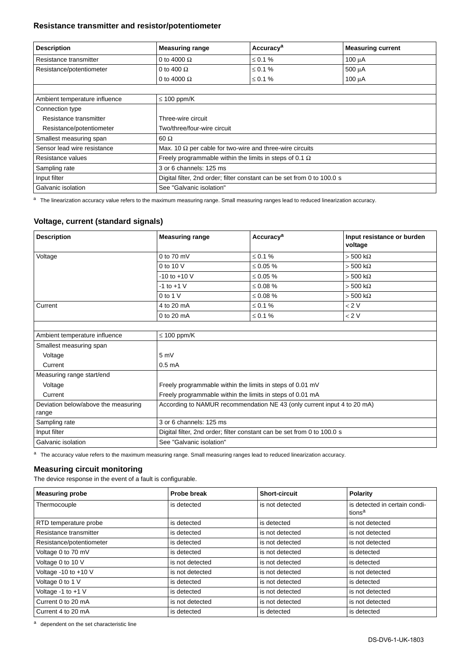#### **Resistance transmitter and resistor/potentiometer**

| <b>Description</b>            | <b>Measuring range</b>                                                  | Accuracy <sup>a</sup> | <b>Measuring current</b> |  |  |
|-------------------------------|-------------------------------------------------------------------------|-----------------------|--------------------------|--|--|
| Resistance transmitter        | 0 to 4000 $\Omega$                                                      | $\leq 0.1 \%$         | 100 µA                   |  |  |
| Resistance/potentiometer      | 0 to 400 $\Omega$                                                       | $\leq 0.1 \%$         | 500 µA                   |  |  |
|                               | 0 to 4000 $\Omega$                                                      | ≤ 0.1 %               | $100 \mu A$              |  |  |
|                               |                                                                         |                       |                          |  |  |
| Ambient temperature influence | $\leq$ 100 ppm/K                                                        |                       |                          |  |  |
| Connection type               |                                                                         |                       |                          |  |  |
| Resistance transmitter        | Three-wire circuit                                                      |                       |                          |  |  |
| Resistance/potentiometer      | Two/three/four-wire circuit                                             |                       |                          |  |  |
| Smallest measuring span       | $60 \Omega$                                                             |                       |                          |  |  |
| Sensor lead wire resistance   | Max. 10 $\Omega$ per cable for two-wire and three-wire circuits         |                       |                          |  |  |
| Resistance values             | Freely programmable within the limits in steps of 0.1 $\Omega$          |                       |                          |  |  |
| Sampling rate                 | 3 or 6 channels: 125 ms                                                 |                       |                          |  |  |
| Input filter                  | Digital filter, 2nd order; filter constant can be set from 0 to 100.0 s |                       |                          |  |  |
| Galvanic isolation            | See "Galvanic isolation"                                                |                       |                          |  |  |

a The linearization accuracy value refers to the maximum measuring range. Small measuring ranges lead to reduced linearization accuracy.

#### **Voltage, current (standard signals)**

| <b>Description</b>                           | <b>Measuring range</b>                                                  | Accuracy <sup>a</sup> | Input resistance or burden<br>voltage |  |  |
|----------------------------------------------|-------------------------------------------------------------------------|-----------------------|---------------------------------------|--|--|
| Voltage                                      | $0$ to $70$ mV                                                          | $\leq 0.1 \%$         | $> 500 \text{ k}\Omega$               |  |  |
|                                              | 0 to 10 V                                                               | $\leq 0.05 \%$        | $> 500 \text{ k}\Omega$               |  |  |
|                                              | $-10$ to $+10$ V                                                        | $\leq 0.05 \%$        | $> 500 \text{ k}\Omega$               |  |  |
|                                              | $-1$ to $+1$ V                                                          | $\leq 0.08 \%$        | $> 500 \text{ k}\Omega$               |  |  |
|                                              | $0$ to 1 V                                                              | $\leq 0.08 \%$        | $> 500 \text{ k}\Omega$               |  |  |
| Current                                      | 4 to 20 mA                                                              | $\leq 0.1 \%$         | < 2 V                                 |  |  |
|                                              | 0 to 20 mA                                                              | $\leq 0.1 \%$         | < 2 V                                 |  |  |
|                                              |                                                                         |                       |                                       |  |  |
| Ambient temperature influence                | $\leq 100$ ppm/K                                                        |                       |                                       |  |  |
| Smallest measuring span                      |                                                                         |                       |                                       |  |  |
| Voltage                                      | 5mV                                                                     |                       |                                       |  |  |
| Current                                      | 0.5 <sub>m</sub> A                                                      |                       |                                       |  |  |
| Measuring range start/end                    |                                                                         |                       |                                       |  |  |
| Voltage                                      | Freely programmable within the limits in steps of 0.01 mV               |                       |                                       |  |  |
| Current                                      | Freely programmable within the limits in steps of 0.01 mA               |                       |                                       |  |  |
| Deviation below/above the measuring<br>range | According to NAMUR recommendation NE 43 (only current input 4 to 20 mA) |                       |                                       |  |  |
| Sampling rate                                | 3 or 6 channels: 125 ms                                                 |                       |                                       |  |  |
| Input filter                                 | Digital filter, 2nd order; filter constant can be set from 0 to 100.0 s |                       |                                       |  |  |
| Galvanic isolation                           | See "Galvanic isolation"                                                |                       |                                       |  |  |

a The accuracy value refers to the maximum measuring range. Small measuring ranges lead to reduced linearization accuracy.

#### **Measuring circuit monitoring**

The device response in the event of a fault is configurable.

| <b>Measuring probe</b>   | Probe break     | <b>Short-circuit</b> | Polarity                                            |
|--------------------------|-----------------|----------------------|-----------------------------------------------------|
| Thermocouple             | is detected     | is not detected      | is detected in certain condi-<br>tions <sup>a</sup> |
| RTD temperature probe    | is detected     | is detected          | is not detected                                     |
| Resistance transmitter   | is detected     | is not detected      | is not detected                                     |
| Resistance/potentiometer | is detected     | is not detected      | is not detected                                     |
| Voltage 0 to 70 mV       | is detected     | is not detected      | is detected                                         |
| Voltage 0 to 10 V        | is not detected | is not detected      | is detected                                         |
| Voltage -10 to +10 V     | is not detected | is not detected      | is not detected                                     |
| Voltage 0 to 1 V         | is detected     | is not detected      | is detected                                         |
| Voltage -1 to +1 V       | is detected     | is not detected      | is not detected                                     |
| Current 0 to 20 mA       | is not detected | is not detected      | is not detected                                     |
| Current 4 to 20 mA       | is detected     | is detected          | is detected                                         |

a dependent on the set characteristic line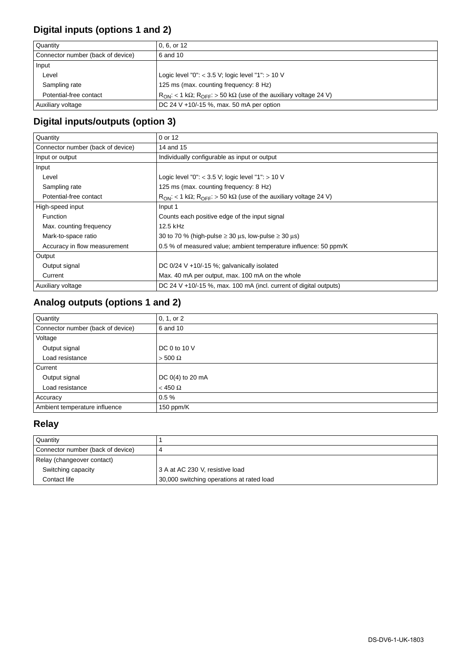### **Digital inputs (options 1 and 2)**

| Quantity                          | 0.6. or 12                                                                                  |
|-----------------------------------|---------------------------------------------------------------------------------------------|
| Connector number (back of device) | 6 and 10                                                                                    |
| Input                             |                                                                                             |
| Level                             | Logic level "0": $<$ 3.5 V; logic level "1": $>$ 10 V                                       |
| Sampling rate                     | 125 ms (max. counting frequency: 8 Hz)                                                      |
| Potential-free contact            | $R_{ON}$ : < 1 k $\Omega$ ; $R_{OFF}$ : > 50 k $\Omega$ (use of the auxiliary voltage 24 V) |
| Auxiliary voltage                 | DC 24 V +10/-15 %, max. 50 mA per option                                                    |

## **Digital inputs/outputs (option 3)**

| Quantity                          | 0 or 12                                                                                     |
|-----------------------------------|---------------------------------------------------------------------------------------------|
| Connector number (back of device) | 14 and 15                                                                                   |
| Input or output                   | Individually configurable as input or output                                                |
| Input                             |                                                                                             |
| Level                             | Logic level "0": $<$ 3.5 V; logic level "1": $>$ 10 V                                       |
| Sampling rate                     | 125 ms (max. counting frequency: 8 Hz)                                                      |
| Potential-free contact            | $R_{ON}$ : < 1 k $\Omega$ ; $R_{OFF}$ : > 50 k $\Omega$ (use of the auxiliary voltage 24 V) |
| High-speed input                  | Input 1                                                                                     |
| <b>Function</b>                   | Counts each positive edge of the input signal                                               |
| Max. counting frequency           | $12.5$ kHz                                                                                  |
| Mark-to-space ratio               | 30 to 70 % (high-pulse $\geq$ 30 $\mu$ s, low-pulse $\geq$ 30 $\mu$ s)                      |
| Accuracy in flow measurement      | 0.5 % of measured value; ambient temperature influence: 50 ppm/K                            |
| Output                            |                                                                                             |
| Output signal                     | DC $0/24$ V +10/-15 %; galvanically isolated                                                |
| Current                           | Max. 40 mA per output, max. 100 mA on the whole                                             |
| Auxiliary voltage                 | DC 24 V $+10/-15$ %, max. 100 mA (incl. current of digital outputs)                         |

# **Analog outputs (options 1 and 2)**

| Quantity                          | 0, 1, or 2         |
|-----------------------------------|--------------------|
| Connector number (back of device) | 6 and 10           |
| Voltage                           |                    |
| Output signal                     | DC 0 to 10 V       |
| Load resistance                   | $>$ 500 $\Omega$   |
| Current                           |                    |
| Output signal                     | DC $0(4)$ to 20 mA |
| Load resistance                   | $<$ 450 $\Omega$   |
| Accuracy                          | 0.5%               |
| Ambient temperature influence     | 150 ppm/K          |

# **Relay**

| Quantity                          |                                           |
|-----------------------------------|-------------------------------------------|
| Connector number (back of device) |                                           |
| Relay (changeover contact)        |                                           |
| Switching capacity                | 3 A at AC 230 V, resistive load           |
| Contact life                      | 30,000 switching operations at rated load |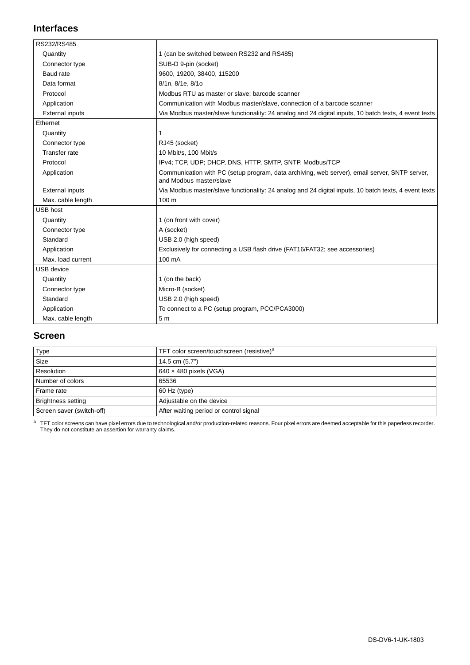#### **Interfaces**

| RS232/RS485            |                                                                                                                          |
|------------------------|--------------------------------------------------------------------------------------------------------------------------|
| Quantity               | 1 (can be switched between RS232 and RS485)                                                                              |
| Connector type         | SUB-D 9-pin (socket)                                                                                                     |
| Baud rate              | 9600, 19200, 38400, 115200                                                                                               |
| Data format            | 8/1n, 8/1e, 8/1o                                                                                                         |
| Protocol               | Modbus RTU as master or slave; barcode scanner                                                                           |
| Application            | Communication with Modbus master/slave, connection of a barcode scanner                                                  |
| <b>External inputs</b> | Via Modbus master/slave functionality: 24 analog and 24 digital inputs, 10 batch texts, 4 event texts                    |
| Ethernet               |                                                                                                                          |
| Quantity               | 1                                                                                                                        |
| Connector type         | RJ45 (socket)                                                                                                            |
| <b>Transfer rate</b>   | 10 Mbit/s, 100 Mbit/s                                                                                                    |
| Protocol               | IPv4; TCP, UDP; DHCP, DNS, HTTP, SMTP, SNTP, Modbus/TCP                                                                  |
| Application            | Communication with PC (setup program, data archiving, web server), email server, SNTP server,<br>and Modbus master/slave |
| <b>External inputs</b> | Via Modbus master/slave functionality: 24 analog and 24 digital inputs, 10 batch texts, 4 event texts                    |
| Max. cable length      | 100 <sub>m</sub>                                                                                                         |
| <b>USB host</b>        |                                                                                                                          |
| Quantity               | 1 (on front with cover)                                                                                                  |
| Connector type         | A (socket)                                                                                                               |
| Standard               | USB 2.0 (high speed)                                                                                                     |
| Application            | Exclusively for connecting a USB flash drive (FAT16/FAT32; see accessories)                                              |
| Max. load current      | 100 mA                                                                                                                   |
| <b>USB</b> device      |                                                                                                                          |
| Quantity               | 1 (on the back)                                                                                                          |
| Connector type         | Micro-B (socket)                                                                                                         |
| Standard               | USB 2.0 (high speed)                                                                                                     |
| Application            | To connect to a PC (setup program, PCC/PCA3000)                                                                          |
| Max. cable length      | 5 <sub>m</sub>                                                                                                           |

#### **Screen**

| Type                      | TFT color screen/touchscreen (resistive) <sup>a</sup> |
|---------------------------|-------------------------------------------------------|
| <b>Size</b>               | 14.5 cm (5.7")                                        |
| Resolution                | $640 \times 480$ pixels (VGA)                         |
| Number of colors          | 65536                                                 |
| Frame rate                | 60 Hz (type)                                          |
| <b>Brightness setting</b> | Adjustable on the device                              |
| Screen saver (switch-off) | After waiting period or control signal                |

a TFT color screens can have pixel errors due to technological and/or production-related reasons. Four pixel errors are deemed acceptable for this paperless recorder.<br>They do not constitute an assertion for warranty claims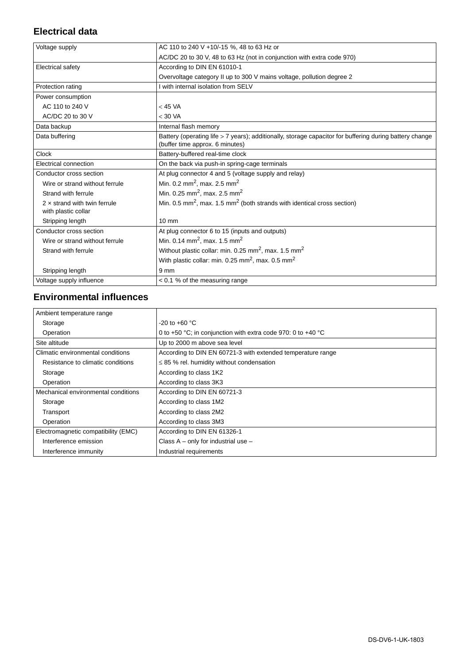### **Electrical data**

| Voltage supply                                             | AC 110 to 240 V +10/-15 %, 48 to 63 Hz or                                                                                                  |
|------------------------------------------------------------|--------------------------------------------------------------------------------------------------------------------------------------------|
|                                                            | AC/DC 20 to 30 V, 48 to 63 Hz (not in conjunction with extra code 970)                                                                     |
| Electrical safety                                          | According to DIN EN 61010-1                                                                                                                |
|                                                            | Overvoltage category II up to 300 V mains voltage, pollution degree 2                                                                      |
| Protection rating                                          | I with internal isolation from SELV                                                                                                        |
| Power consumption                                          |                                                                                                                                            |
| AC 110 to 240 V                                            | $<$ 45 VA                                                                                                                                  |
| AC/DC 20 to 30 V                                           | $<$ 30 VA                                                                                                                                  |
| Data backup                                                | Internal flash memory                                                                                                                      |
| Data buffering                                             | Battery (operating life > 7 years); additionally, storage capacitor for buffering during battery change<br>(buffer time approx. 6 minutes) |
| Clock                                                      | Battery-buffered real-time clock                                                                                                           |
| Electrical connection                                      | On the back via push-in spring-cage terminals                                                                                              |
| Conductor cross section                                    | At plug connector 4 and 5 (voltage supply and relay)                                                                                       |
| Wire or strand without ferrule                             | Min. 0.2 mm <sup>2</sup> , max. 2.5 mm <sup>2</sup>                                                                                        |
| Strand with ferrule                                        | Min. 0.25 mm <sup>2</sup> , max. 2.5 mm <sup>2</sup>                                                                                       |
| $2 \times$ strand with twin ferrule<br>with plastic collar | Min. 0.5 mm <sup>2</sup> , max. 1.5 mm <sup>2</sup> (both strands with identical cross section)                                            |
| Stripping length                                           | $10 \text{ mm}$                                                                                                                            |
| Conductor cross section                                    | At plug connector 6 to 15 (inputs and outputs)                                                                                             |
| Wire or strand without ferrule                             | Min. 0.14 mm <sup>2</sup> , max. 1.5 mm <sup>2</sup>                                                                                       |
| Strand with ferrule                                        | Without plastic collar: min. 0.25 mm <sup>2</sup> , max. 1.5 mm <sup>2</sup>                                                               |
|                                                            | With plastic collar: min. 0.25 mm <sup>2</sup> , max. 0.5 mm <sup>2</sup>                                                                  |
| Stripping length                                           | 9 <sub>mm</sub>                                                                                                                            |
| Voltage supply influence                                   | $< 0.1$ % of the measuring range                                                                                                           |
|                                                            |                                                                                                                                            |

#### **Environmental influences**

| Ambient temperature range           |                                                              |
|-------------------------------------|--------------------------------------------------------------|
| Storage                             | $-20$ to $+60$ °C                                            |
| Operation                           | 0 to +50 °C; in conjunction with extra code 970: 0 to +40 °C |
| Site altitude                       | Up to 2000 m above sea level                                 |
| Climatic environmental conditions   | According to DIN EN 60721-3 with extended temperature range  |
| Resistance to climatic conditions   | $\leq$ 85 % rel. humidity without condensation               |
| Storage                             | According to class 1K2                                       |
| Operation                           | According to class 3K3                                       |
| Mechanical environmental conditions | According to DIN EN 60721-3                                  |
| Storage                             | According to class 1M2                                       |
| Transport                           | According to class 2M2                                       |
| Operation                           | According to class 3M3                                       |
| Electromagnetic compatibility (EMC) | According to DIN EN 61326-1                                  |
| Interference emission               | Class $A - only$ for industrial use $-$                      |
| Interference immunity               | Industrial requirements                                      |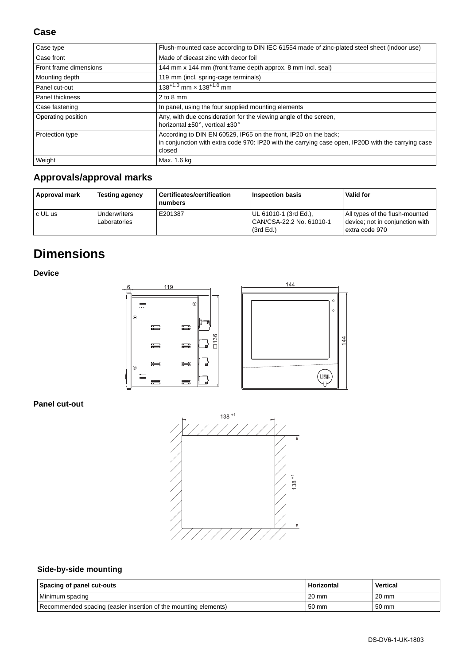| Case type              | Flush-mounted case according to DIN IEC 61554 made of zinc-plated steel sheet (indoor use)                                                                                      |
|------------------------|---------------------------------------------------------------------------------------------------------------------------------------------------------------------------------|
| Case front             | Made of diecast zinc with decor foil                                                                                                                                            |
| Front frame dimensions | 144 mm x 144 mm (front frame depth approx. 8 mm incl. seal)                                                                                                                     |
| Mounting depth         | 119 mm (incl. spring-cage terminals)                                                                                                                                            |
| Panel cut-out          | $138^{+1.0}$ mm $\times$ 138 <sup>+1.0</sup> mm                                                                                                                                 |
| Panel thickness        | $2$ to 8 mm                                                                                                                                                                     |
| Case fastening         | In panel, using the four supplied mounting elements                                                                                                                             |
| Operating position     | Any, with due consideration for the viewing angle of the screen,<br>horizontal ±50°, vertical ±30°                                                                              |
| Protection type        | According to DIN EN 60529, IP65 on the front, IP20 on the back;<br>in conjunction with extra code 970: IP20 with the carrying case open, IP20D with the carrying case<br>closed |
| Weight                 | Max. 1.6 kg                                                                                                                                                                     |

### **Approvals/approval marks**

| Approval mark | <b>Testing agency</b>        | Certificates/certification<br>numbers | Inspection basis                                               | Valid for                                                                           |
|---------------|------------------------------|---------------------------------------|----------------------------------------------------------------|-------------------------------------------------------------------------------------|
| c UL us       | Underwriters<br>Laboratories | E201387                               | UL 61010-1 (3rd Ed.),<br>CAN/CSA-22.2 No. 61010-1<br>(3rd Ed.) | All types of the flush-mounted<br>device; not in conjunction with<br>extra code 970 |

# **Dimensions**

**Device**



#### **Panel cut-out**



### **Side-by-side mounting**

| Spacing of panel cut-outs                                       | Horizontal | <b>Vertical</b> |
|-----------------------------------------------------------------|------------|-----------------|
| Minimum spacing                                                 | 20 mm      | $20 \text{ mm}$ |
| Recommended spacing (easier insertion of the mounting elements) | 50 mm      | 50 mm           |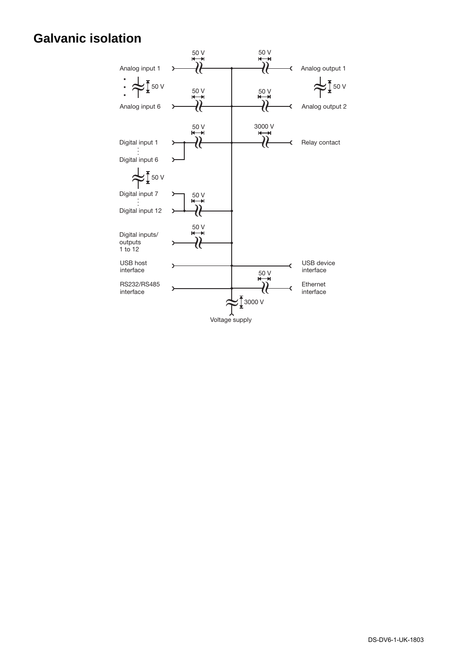# **Galvanic isolation**

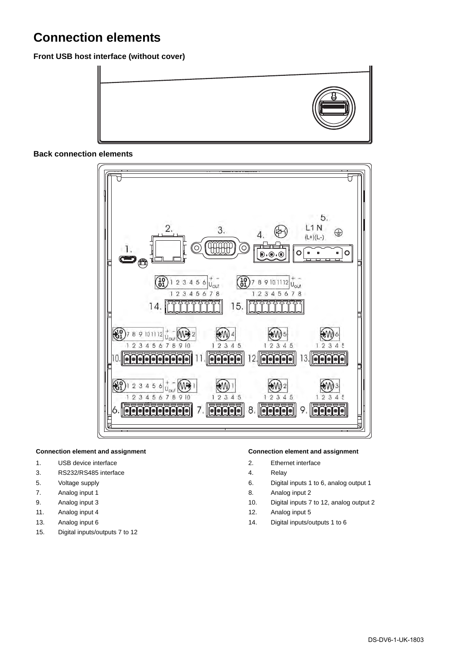# **Connection elements**

**Front USB host interface (without cover)**



#### **Back connection elements**



- 1. USB device interface 2. Ethernet interface
- 3. RS232/RS485 interface 3. All 2012 12:30 AM Relay
- 
- 7. Analog input 1 and 1 and 1 and 1 and 1 and 1 and 1 and 1 and 1 and 1 and 1 and 1 and 1 and 1 and 1 and 1 and 1 and 1 and 1 and 1 and 1 and 1 and 1 and 1 and 1 and 1 and 1 and 1 and 1 and 1 and 1 and 1 and 1 and 1 and 1
- 
- 
- 
- 15. Digital inputs/outputs 7 to 12

#### **Connection element and assignment Connection element and assignment**

- 
- 
- 5. Voltage supply 6. Digital inputs 1 to 6, analog output 1
	-
- 9. Analog input 3 10. Digital inputs 7 to 12, analog output 2
- 11. Analog input 4 12. Analog input 4
- 13. Analog input 6 15 and 14. Digital inputs/outputs 1 to 6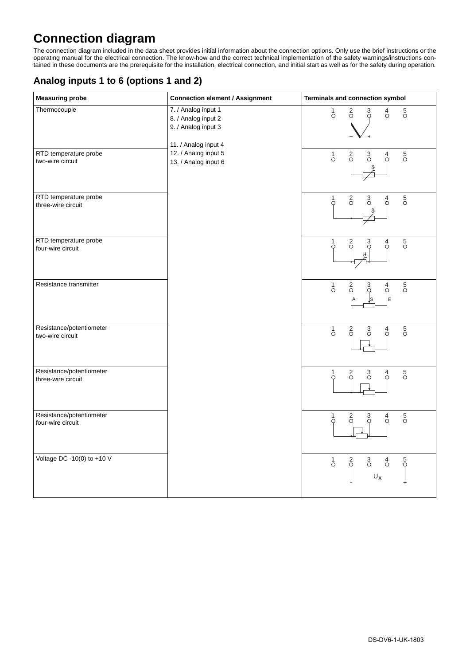# **Connection diagram**

The connection diagram included in the data sheet provides initial information about the connection options. Only use the brief instructions or the operating manual for the electrical connection. The know-how and the correct technical implementation of the safety warnings/instructions contained in these documents are the prerequisite for the installation, electrical connection, and initial start as well as for the safety during operation.

#### **Analog inputs 1 to 6 (options 1 and 2)**

| <b>Measuring probe</b>                         | <b>Connection element / Assignment</b>                                                    | Terminals and connection symbol                                                                                                       |
|------------------------------------------------|-------------------------------------------------------------------------------------------|---------------------------------------------------------------------------------------------------------------------------------------|
| Thermocouple                                   | 7. / Analog input 1<br>8. / Analog input 2<br>9. / Analog input 3<br>11. / Analog input 4 | $\sigma$<br>$\frac{5}{0}$<br>$\int_{0}^{1}$<br>$\frac{2}{5}$<br>$\frac{3}{9}$                                                         |
| RTD temperature probe<br>two-wire circuit      | 12. / Analog input 5<br>13. / Analog input 6                                              | $\frac{5}{0}$<br>$\int_{0}^{1}$<br>$_{\circ}^3$<br>$\begin{matrix} 4 \\ 0 \end{matrix}$<br>$\frac{2}{9}$<br>ρ,                        |
| RTD temperature probe<br>three-wire circuit    |                                                                                           | $\frac{5}{0}$<br>$\frac{3}{0}$<br>$\begin{matrix} 1 \\ 0 \end{matrix}$<br>$\frac{2}{5}$<br>$\begin{matrix} 4 \\ 0 \end{matrix}$<br>ρ, |
| RTD temperature probe<br>four-wire circuit     |                                                                                           | $\frac{5}{0}$<br>$\frac{2}{5}$<br>1<br>$\frac{3}{\circ}$<br>$\sigma$<br>O                                                             |
| Resistance transmitter                         |                                                                                           | $\frac{5}{0}$<br>$\int_{0}^{1}$<br>$\begin{matrix} 4 \\ 0 \end{matrix}$<br>$\frac{2}{\circ}$<br>3<br>E                                |
| Resistance/potentiometer<br>two-wire circuit   |                                                                                           | $\frac{5}{\circ}$<br>$\sigma$<br>$\frac{2}{\circ}$<br>$\frac{3}{0}$<br>$\sigma$                                                       |
| Resistance/potentiometer<br>three-wire circuit |                                                                                           | $\frac{5}{0}$<br>$_{\circ}^3$<br>1<br>$\frac{2}{0}$<br>$\sigma$<br>Ω                                                                  |
| Resistance/potentiometer<br>four-wire circuit  |                                                                                           | $\frac{5}{0}$<br>$\frac{3}{\circ}$<br>$\frac{4}{\circ}$<br>$\frac{2}{\circ}$<br>Ο                                                     |
| Voltage DC -10(0) to +10 V                     |                                                                                           | $\frac{5}{9}$<br>$\overline{0}$<br>$\frac{2}{5}$<br>$\frac{3}{\circ}$<br>$\sigma$<br>$\mathsf{U}_\mathsf{X}$                          |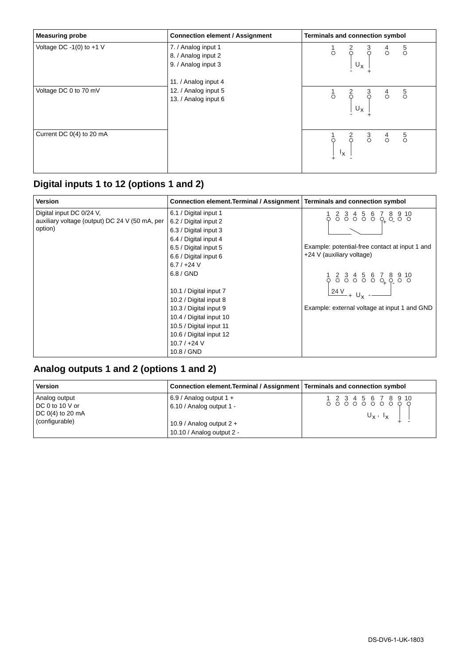| <b>Measuring probe</b>   | <b>Connection element / Assignment</b>                               | <b>Terminals and connection symbol</b>                                                      |
|--------------------------|----------------------------------------------------------------------|---------------------------------------------------------------------------------------------|
| Voltage DC -1(0) to +1 V | 7. / Analog input 1<br>8. / Analog input 2<br>9. / Analog input 3    | $\begin{bmatrix} 1 & 2 & 3 & 4 & 5 \\ 0 & 0 & 0 & 0 & 0 \\ 0 & 0 & 0 & 0 & 0 \end{bmatrix}$ |
| Voltage DC 0 to 70 mV    | 11. / Analog input 4<br>12. / Analog input 5<br>13. / Analog input 6 | $\begin{array}{cccc} 1 & 2 & 3 & 4 & 5 \\ 0 & 0 & 0 & 0 & 0 \\ 0 & 0 & 0 & 0 \end{array}$   |
| Current DC 0(4) to 20 mA |                                                                      | $\begin{bmatrix} 1 & 2 & 3 & 4 & 5 \\ 0 & 0 & 0 & 0 & 0 \\ 1 & 1 & 0 & 0 & 0 \end{bmatrix}$ |

# **Digital inputs 1 to 12 (options 1 and 2)**

| <b>Version</b>                                 | Connection element. Terminal / Assignment   Terminals and connection symbol |                                                                                                                                             |
|------------------------------------------------|-----------------------------------------------------------------------------|---------------------------------------------------------------------------------------------------------------------------------------------|
| Digital input DC 0/24 V,                       | 6.1 / Digital input 1                                                       |                                                                                                                                             |
| auxiliary voltage (output) DC 24 V (50 mA, per | 6.2 / Digital input 2                                                       | $1 2 3 4 5 6 7 8 9 10$<br>$0 0 0 0 0 0 0 0 0 0$                                                                                             |
| option)                                        | 6.3 / Digital input 3                                                       |                                                                                                                                             |
|                                                | 6.4 / Digital input 4                                                       |                                                                                                                                             |
|                                                | 6.5 / Digital input 5                                                       | Example: potential-free contact at input 1 and                                                                                              |
|                                                | 6.6 / Digital input 6                                                       | +24 V (auxiliary voltage)                                                                                                                   |
|                                                | $6.7 / +24 V$                                                               |                                                                                                                                             |
|                                                | $6.8 /$ GND                                                                 | $\begin{array}{cccccc}\n1 & 2 & 3 & 4 & 5 & 6 & 7 & 8 & 9 & 10 \\ 0 & 0 & 0 & 0 & 0 & 0 & 0 & 0 \\ 24 & 0 & 0 & 0 & 0 & 0 & 0\n\end{array}$ |
|                                                | 10.1 / Digital input 7                                                      |                                                                                                                                             |
|                                                | 10.2 / Digital input 8                                                      |                                                                                                                                             |
|                                                | 10.3 / Digital input 9                                                      | Example: external voltage at input 1 and GND                                                                                                |
|                                                | 10.4 / Digital input 10                                                     |                                                                                                                                             |
|                                                | 10.5 / Digital input 11                                                     |                                                                                                                                             |
|                                                | 10.6 / Digital input 12                                                     |                                                                                                                                             |
|                                                | $10.7 / +24 V$                                                              |                                                                                                                                             |
|                                                | 10.8 / GND                                                                  |                                                                                                                                             |

# **Analog outputs 1 and 2 (options 1 and 2)**

| <b>Version</b>                                                           | Connection element. Terminal / Assignment   Terminals and connection symbol |                                                                                                                     |
|--------------------------------------------------------------------------|-----------------------------------------------------------------------------|---------------------------------------------------------------------------------------------------------------------|
| Analog output<br>DC 0 to 10 V or<br>DC $0(4)$ to 20 mA<br>(configurable) | 6.9 / Analog output $1 +$<br>6.10 / Analog output 1 -                       | $1 2 3 4 5 6 7 8 9 10$<br>$0 0 0 0 0 0 0 0 0 0 0$<br>$\mathsf{U}_\mathsf{X}$ , $\mathsf{I}_\mathsf{X}$ $\mathsf{I}$ |
|                                                                          | 10.9 / Analog output $2 +$<br>10.10 / Analog output 2 -                     |                                                                                                                     |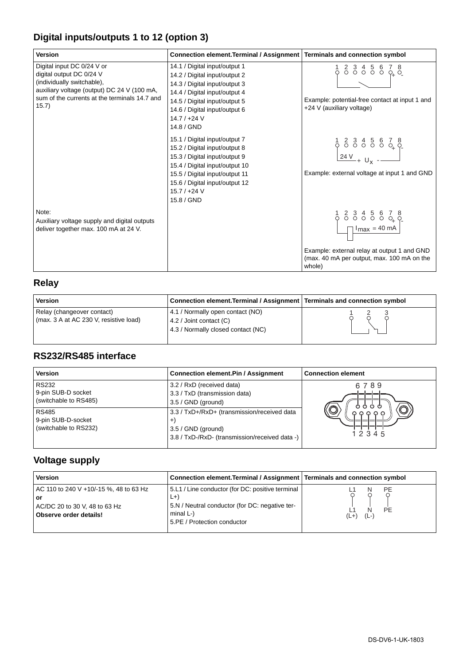### **Digital inputs/outputs 1 to 12 (option 3)**

| <b>Version</b>                                                                                                                                                                                | Connection element. Terminal / Assignment                                                                                                                                                                                             | Terminals and connection symbol                                                                                                                                                                                                               |
|-----------------------------------------------------------------------------------------------------------------------------------------------------------------------------------------------|---------------------------------------------------------------------------------------------------------------------------------------------------------------------------------------------------------------------------------------|-----------------------------------------------------------------------------------------------------------------------------------------------------------------------------------------------------------------------------------------------|
| Digital input DC 0/24 V or<br>digital output DC 0/24 V<br>(individually switchable),<br>auxiliary voltage (output) DC 24 V (100 mA,<br>sum of the currents at the terminals 14.7 and<br>15.7) | 14.1 / Digital input/output 1<br>14.2 / Digital input/output 2<br>14.3 / Digital input/output 3<br>14.4 / Digital input/output 4<br>14.5 / Digital input/output 5<br>14.6 / Digital input/output 6<br>$14.7 / +24 V$<br>14.8 / GND    | $2345678$<br>$000000000$<br>Example: potential-free contact at input 1 and<br>+24 V (auxiliary voltage)                                                                                                                                       |
|                                                                                                                                                                                               | 15.1 / Digital input/output 7<br>15.2 / Digital input/output 8<br>15.3 / Digital input/output 9<br>15.4 / Digital input/output 10<br>15.5 / Digital input/output 11<br>15.6 / Digital input/output 12<br>$15.7 / +24 V$<br>15.8 / GND | Example: external voltage at input 1 and GND                                                                                                                                                                                                  |
| Note:<br>Auxiliary voltage supply and digital outputs<br>deliver together max. 100 mA at 24 V.                                                                                                |                                                                                                                                                                                                                                       | $\begin{array}{c cccc}\n1 & 2 & 3 & 4 & 5 & 6 & 7 & 8 \\ 0 & 0 & 0 & 0 & 0 & 0 & 0 & 0 \\ \hline\n& \text{max} & = & 40 \text{ mA}\n\end{array}$<br>Example: external relay at output 1 and GND<br>(max. 40 mA per output, max. 100 mA on the |

### **Relay**

| <b>Version</b>                                                       | Connection element. Terminal / Assignment   Terminals and connection symbol                       |  |
|----------------------------------------------------------------------|---------------------------------------------------------------------------------------------------|--|
| Relay (changeover contact)<br>(max. 3 A at AC 230 V, resistive load) | 4.1 / Normally open contact (NO)<br>4.2 / Joint contact (C)<br>4.3 / Normally closed contact (NC) |  |

### **RS232/RS485 interface**

| <b>Version</b>                                              | <b>Connection element.Pin / Assignment</b>                                                                            | <b>Connection element</b>                 |
|-------------------------------------------------------------|-----------------------------------------------------------------------------------------------------------------------|-------------------------------------------|
| <b>RS232</b><br>9-pin SUB-D socket<br>(switchable to RS485) | 3.2 / RxD (received data)<br>3.3 / TxD (transmission data)<br>$3.5 / GND$ (ground)                                    | 6789<br>めめめめ                              |
| <b>RS485</b><br>9-pin SUB-D-socket<br>(switchable to RS232) | 3.3 / TxD+/RxD+ (transmission/received data<br>$3.5 /$ GND (ground)<br>3.8 / TxD-/RxD- (transmission/received data -) | $\circledcirc$<br><b>ଜ ଜ ଜ ଜ</b><br>12345 |

# **Voltage supply**

| <b>Version</b>                                                                                          | Connection element. Terminal / Assignment   Terminals and connection symbol                                                                                |                                                   |
|---------------------------------------------------------------------------------------------------------|------------------------------------------------------------------------------------------------------------------------------------------------------------|---------------------------------------------------|
| AC 110 to 240 V +10/-15 %, 48 to 63 Hz<br>or<br>AC/DC 20 to 30 V, 48 to 63 Hz<br>Observe order details! | 5.L1 / Line conductor (for DC: positive terminal<br>$L +$<br>5.N / Neutral conductor (for DC: negative ter-<br>minal $L$ -)<br>5.PE / Protection conductor | <b>PE</b><br>N<br><b>PE</b><br>N<br>$(L -$<br>′L+ |